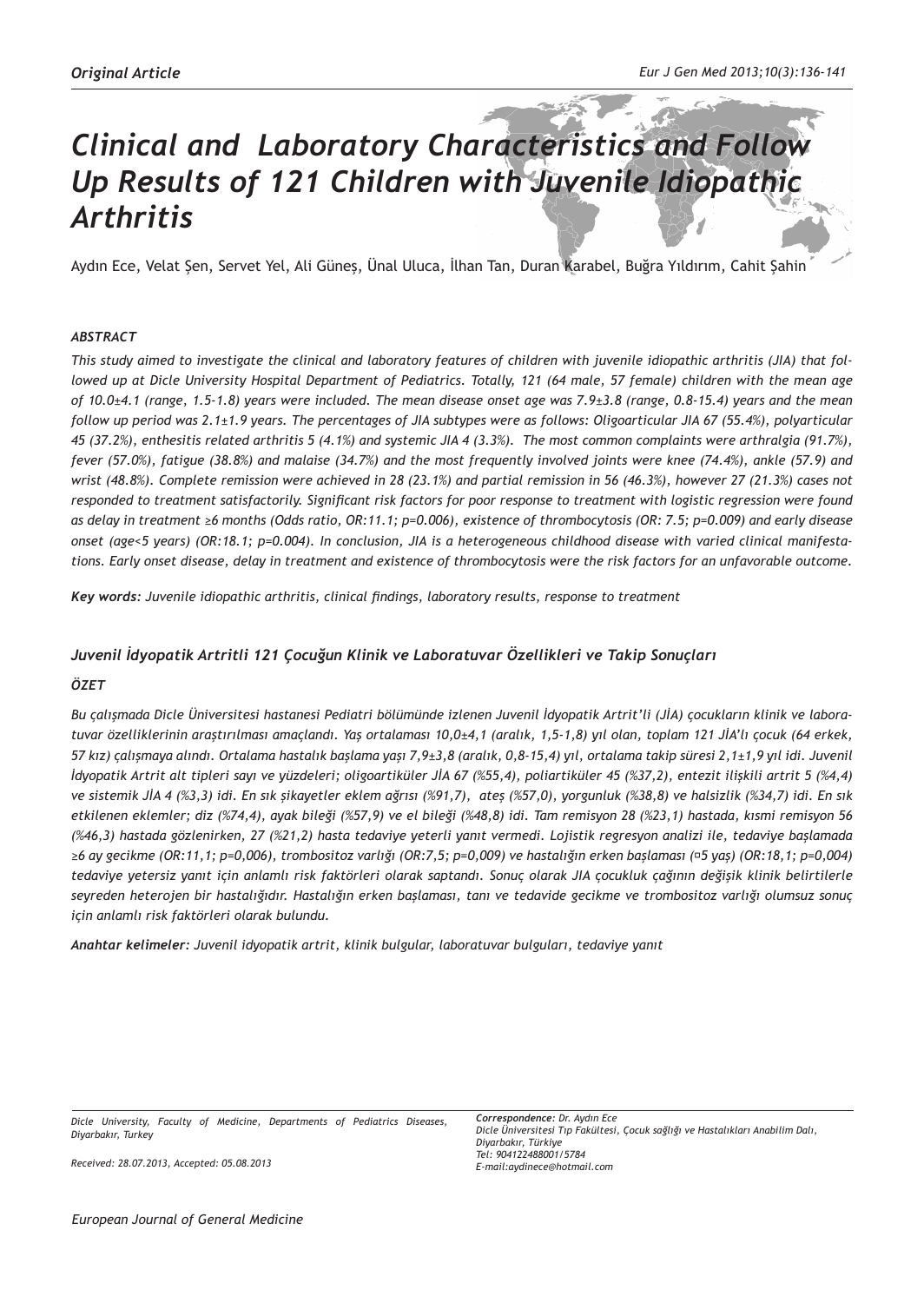# *Clinical and Laboratory Characteristics and Follow Up Results of 121 Children with Juvenile Idiopathic Arthritis*

Aydın Ece, Velat Şen, Servet Yel, Ali Güneş, Ünal Uluca, İlhan Tan, Duran Karabel, Buğra Yıldırım, Cahit Şahin

#### *ABSTRACT*

*This study aimed to investigate the clinical and laboratory features of children with juvenile idiopathic arthritis (JIA) that followed up at Dicle University Hospital Department of Pediatrics. Totally, 121 (64 male, 57 female) children with the mean age of 10.0±4.1 (range, 1.5-1.8) years were included. The mean disease onset age was 7.9±3.8 (range, 0.8-15.4) years and the mean follow up period was 2.1±1.9 years. The percentages of JIA subtypes were as follows: Oligoarticular JIA 67 (55.4%), polyarticular 45 (37.2%), enthesitis related arthritis 5 (4.1%) and systemic JIA 4 (3.3%). The most common complaints were arthralgia (91.7%), fever (57.0%), fatigue (38.8%) and malaise (34.7%) and the most frequently involved joints were knee (74.4%), ankle (57.9) and wrist (48.8%). Complete remission were achieved in 28 (23.1%) and partial remission in 56 (46.3%), however 27 (21.3%) cases not responded to treatment satisfactorily. Significant risk factors for poor response to treatment with logistic regression were found as delay in treatment ≥6 months (Odds ratio, OR:11.1; p=0.006), existence of thrombocytosis (OR: 7.5; p=0.009) and early disease onset (age<5 years) (OR:18.1; p=0.004). In conclusion, JIA is a heterogeneous childhood disease with varied clinical manifestations. Early onset disease, delay in treatment and existence of thrombocytosis were the risk factors for an unfavorable outcome.*

*Key words: Juvenile idiopathic arthritis, clinical findings, laboratory results, response to treatment*

# *Juvenil İdyopatik Artritli 121 Çocuğun Klinik ve Laboratuvar Özellikleri ve Takip Sonuçları*

#### *ÖZET*

*Bu çalışmada Dicle Üniversitesi hastanesi Pediatri bölümünde izlenen Juvenil İdyopatik Artrit'li (JİA) çocukların klinik ve laboratuvar özelliklerinin araştırılması amaçlandı. Yaş ortalaması 10,0±4,1 (aralık, 1,5-1,8) yıl olan, toplam 121 JİA'lı çocuk (64 erkek, 57 kız) çalışmaya alındı. Ortalama hastalık başlama yaşı 7,9±3,8 (aralık, 0,8-15,4) yıl, ortalama takip süresi 2,1±1,9 yıl idi. Juvenil İdyopatik Artrit alt tipleri sayı ve yüzdeleri; oligoartiküler JİA 67 (%55,4), poliartiküler 45 (%37,2), entezit ilişkili artrit 5 (%4,4) ve sistemik JİA 4 (%3,3) idi. En sık şikayetler eklem ağrısı (%91,7), ateş (%57,0), yorgunluk (%38,8) ve halsizlik (%34,7) idi. En sık etkilenen eklemler; diz (%74,4), ayak bileği (%57,9) ve el bileği (%48,8) idi. Tam remisyon 28 (%23,1) hastada, kısmi remisyon 56 (%46,3) hastada gözlenirken, 27 (%21,2) hasta tedaviye yeterli yanıt vermedi. Lojistik regresyon analizi ile, tedaviye başlamada ≥6 ay gecikme (OR:11,1; p=0,006), trombositoz varlığı (OR:7,5; p=0,009) ve hastalığın erken başlaması (˂5 yaş) (OR:18,1; p=0,004) tedaviye yetersiz yanıt için anlamlı risk faktörleri olarak saptandı. Sonuç olarak JIA çocukluk çağının değişik klinik belirtilerle seyreden heterojen bir hastalığıdır. Hastalığın erken başlaması, tanı ve tedavide gecikme ve trombositoz varlığı olumsuz sonuç için anlamlı risk faktörleri olarak bulundu.*

*Anahtar kelimeler: Juvenil idyopatik artrit, klinik bulgular, laboratuvar bulguları, tedaviye yanıt*

*Dicle University, Faculty of Medicine, Departments of Pediatrics Diseases, Diyarbakır, Turkey*

*Received: 28.07.2013, Accepted: 05.08.2013*

*Correspondence: Dr. Aydın Ece Dicle Üniversitesi Tıp Fakültesi, Çocuk sağlığı ve Hastalıkları Anabilim Dalı, Diyarbakır, Türkiye Tel: 904122488001/5784 E-mail:aydinece@hotmail.com*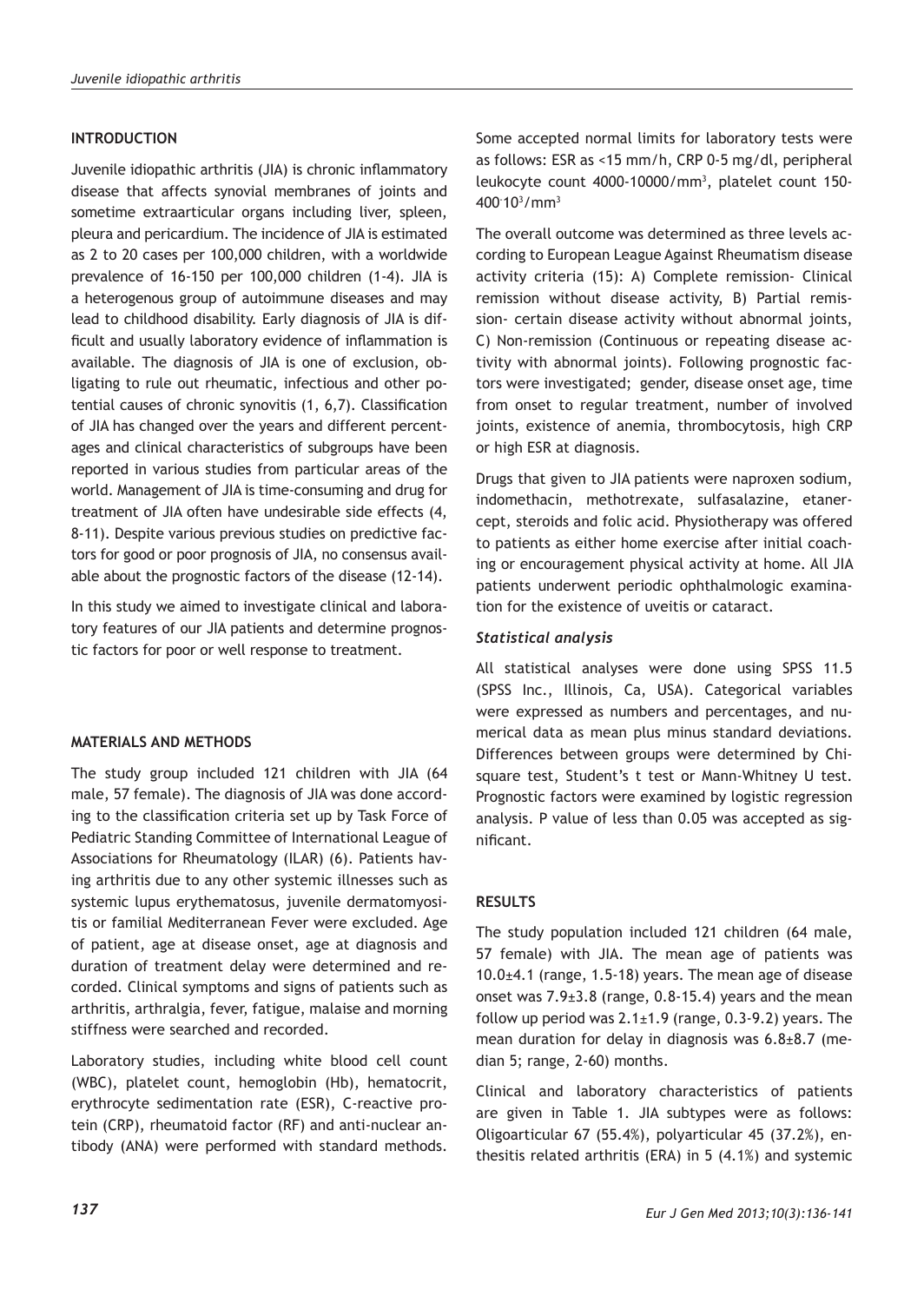## **INTRODUCTION**

Juvenile idiopathic arthritis (JIA) is chronic inflammatory disease that affects synovial membranes of joints and sometime extraarticular organs including liver, spleen, pleura and pericardium. The incidence of JIA is estimated as 2 to 20 cases per 100,000 children, with a worldwide prevalence of 16-150 per 100,000 children (1-4). JIA is a heterogenous group of autoimmune diseases and may lead to childhood disability. Early diagnosis of JIA is difficult and usually laboratory evidence of inflammation is available. The diagnosis of JIA is one of exclusion, obligating to rule out rheumatic, infectious and other potential causes of chronic synovitis (1, 6,7). Classification of JIA has changed over the years and different percentages and clinical characteristics of subgroups have been reported in various studies from particular areas of the world. Management of JIA is time-consuming and drug for treatment of JIA often have undesirable side effects (4, 8-11). Despite various previous studies on predictive factors for good or poor prognosis of JIA, no consensus available about the prognostic factors of the disease (12-14).

In this study we aimed to investigate clinical and laboratory features of our JIA patients and determine prognostic factors for poor or well response to treatment.

#### **MATERIALS AND METHODS**

The study group included 121 children with JIA (64 male, 57 female). The diagnosis of JIA was done according to the classification criteria set up by Task Force of Pediatric Standing Committee of International League of Associations for Rheumatology (ILAR) (6). Patients having arthritis due to any other systemic illnesses such as systemic lupus erythematosus, juvenile dermatomyositis or familial Mediterranean Fever were excluded. Age of patient, age at disease onset, age at diagnosis and duration of treatment delay were determined and recorded. Clinical symptoms and signs of patients such as arthritis, arthralgia, fever, fatigue, malaise and morning stiffness were searched and recorded.

Laboratory studies, including white blood cell count (WBC), platelet count, hemoglobin (Hb), hematocrit, erythrocyte sedimentation rate (ESR), C-reactive protein (CRP), rheumatoid factor (RF) and anti-nuclear antibody (ANA) were performed with standard methods. Some accepted normal limits for laboratory tests were as follows: ESR as <15 mm/h, CRP 0-5 mg/dl, peripheral leukocyte count 4000-10000/mm<sup>3</sup> , platelet count 150-  $400~10^{3}/$ mm $^{3}$ 

The overall outcome was determined as three levels according to European League Against Rheumatism disease activity criteria (15): A) Complete remission- Clinical remission without disease activity, B) Partial remission- certain disease activity without abnormal joints, C) Non-remission (Continuous or repeating disease activity with abnormal joints). Following prognostic factors were investigated; gender, disease onset age, time from onset to regular treatment, number of involved joints, existence of anemia, thrombocytosis, high CRP or high ESR at diagnosis.

Drugs that given to JIA patients were naproxen sodium, indomethacin, methotrexate, sulfasalazine, etanercept, steroids and folic acid. Physiotherapy was offered to patients as either home exercise after initial coaching or encouragement physical activity at home. All JIA patients underwent periodic ophthalmologic examination for the existence of uveitis or cataract.

### *Statistical analysis*

All statistical analyses were done using SPSS 11.5 (SPSS Inc., Illinois, Ca, USA). Categorical variables were expressed as numbers and percentages, and numerical data as mean plus minus standard deviations. Differences between groups were determined by Chisquare test, Student's t test or Mann-Whitney U test. Prognostic factors were examined by logistic regression analysis. P value of less than 0.05 was accepted as significant.

#### **RESULTS**

The study population included 121 children (64 male, 57 female) with JIA. The mean age of patients was  $10.0±4.1$  (range, 1.5-18) years. The mean age of disease onset was  $7.9\pm3.8$  (range, 0.8-15.4) years and the mean follow up period was  $2.1 \pm 1.9$  (range, 0.3-9.2) years. The mean duration for delay in diagnosis was  $6.8\pm8.7$  (median 5; range, 2-60) months.

Clinical and laboratory characteristics of patients are given in Table 1. JIA subtypes were as follows: Oligoarticular 67 (55.4%), polyarticular 45 (37.2%), enthesitis related arthritis (ERA) in 5 (4.1%) and systemic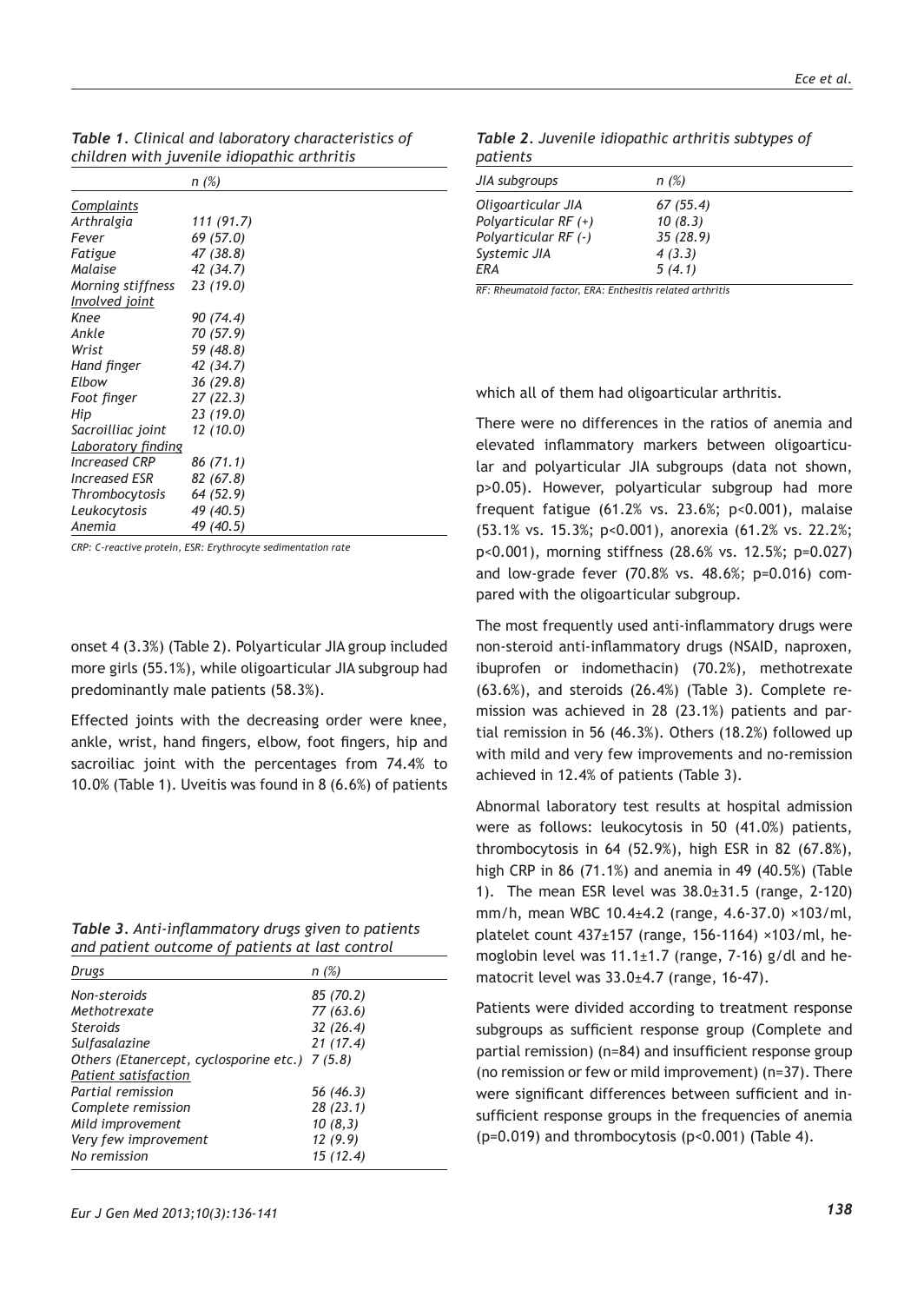|                      | n (%)      |
|----------------------|------------|
| Complaints           |            |
| Arthralgia           | 111 (91.7) |
| Fever                | 69 (57.0)  |
| Fatigue              | 47 (38.8)  |
| Malaise              | 42 (34.7)  |
| Morning stiffness    | 23 (19.0)  |
| Involved joint       |            |
| Knee                 | 90 (74.4)  |
| Ankle                | 70 (57.9)  |
| Wrist                | 59 (48.8)  |
| Hand finger          | 42 (34.7)  |
| Elbow                | 36(29.8)   |
| Foot finger          | 27 (22.3)  |
| Hip                  | 23 (19.0)  |
| Sacroilliac joint    | 12 (10.0)  |
| Laboratory finding   |            |
| <b>Increased CRP</b> | 86 (71.1)  |
| Increased ESR        | 82 (67.8)  |
| Thrombocytosis       | 64 (52.9)  |
| Leukocytosis         | 49 (40.5)  |
| Anemia               | 49 (40.5)  |

*Table 1. Clinical and laboratory characteristics of children with juvenile idiopathic arthritis*

*CRP: C-reactive protein, ESR: Erythrocyte sedimentation rate*

onset 4 (3.3%) (Table 2). Polyarticular JIA group included more girls (55.1%), while oligoarticular JIA subgroup had predominantly male patients (58.3%).

Effected joints with the decreasing order were knee, ankle, wrist, hand fingers, elbow, foot fingers, hip and sacroiliac joint with the percentages from 74.4% to 10.0% (Table 1). Uveitis was found in 8 (6.6%) of patients

|  | Table 3. Anti-inflammatory drugs given to patients |  |
|--|----------------------------------------------------|--|
|  | and patient outcome of patients at last control    |  |

| Drugs                                          | n (%)     |
|------------------------------------------------|-----------|
| Non-steroids                                   | 85 (70.2) |
| Methotrexate                                   | 77 (63.6) |
| Steroids                                       | 32(26.4)  |
| Sulfasalazine                                  | 21(17.4)  |
| Others (Etanercept, cyclosporine etc.) 7 (5.8) |           |
| Patient satisfaction                           |           |
| Partial remission                              | 56 (46.3) |
| Complete remission                             | 28(23.1)  |
| Mild improvement                               | 10(8,3)   |
| Very few improvement                           | 12(9.9)   |
| No remission                                   | 15 (12.4) |

|          |  | Table 2. Juvenile idiopathic arthritis subtypes of |  |
|----------|--|----------------------------------------------------|--|
| patients |  |                                                    |  |

| paciciico              |          |  |
|------------------------|----------|--|
| JIA subgroups          | n(%)     |  |
| Oligoarticular JIA     | 67(55.4) |  |
| Polyarticular $RF (+)$ | 10(8.3)  |  |
| Polyarticular RF(-)    | 35(28.9) |  |
| Systemic JIA           | 4(3.3)   |  |
| <b>ERA</b>             | 5(4.1)   |  |
|                        |          |  |

*RF: Rheumatoid factor, ERA: Enthesitis related arthritis*

which all of them had oligoarticular arthritis.

There were no differences in the ratios of anemia and elevated inflammatory markers between oligoarticular and polyarticular JIA subgroups (data not shown, p>0.05). However, polyarticular subgroup had more frequent fatigue (61.2% vs. 23.6%; p<0.001), malaise (53.1% vs. 15.3%; p<0.001), anorexia (61.2% vs. 22.2%; p<0.001), morning stiffness (28.6% vs. 12.5%; p=0.027) and low-grade fever (70.8% vs. 48.6%; p=0.016) compared with the oligoarticular subgroup.

The most frequently used anti-inflammatory drugs were non-steroid anti-inflammatory drugs (NSAID, naproxen, ibuprofen or indomethacin) (70.2%), methotrexate (63.6%), and steroids (26.4%) (Table 3). Complete remission was achieved in 28 (23.1%) patients and partial remission in 56 (46.3%). Others (18.2%) followed up with mild and very few improvements and no-remission achieved in 12.4% of patients (Table 3).

Abnormal laboratory test results at hospital admission were as follows: leukocytosis in 50 (41.0%) patients, thrombocytosis in 64 (52.9%), high ESR in 82 (67.8%), high CRP in 86 (71.1%) and anemia in 49 (40.5%) (Table 1). The mean ESR level was 38.0±31.5 (range, 2-120) mm/h, mean WBC 10.4±4.2 (range, 4.6-37.0) ×103/ml, platelet count 437±157 (range, 156-1164) ×103/ml, hemoglobin level was  $11.1\pm1.7$  (range,  $7-16$ ) g/dl and hematocrit level was 33.0±4.7 (range, 16-47).

Patients were divided according to treatment response subgroups as sufficient response group (Complete and partial remission) (n=84) and insufficient response group (no remission or few or mild improvement) (n=37). There were significant differences between sufficient and insufficient response groups in the frequencies of anemia (p=0.019) and thrombocytosis (p<0.001) (Table 4).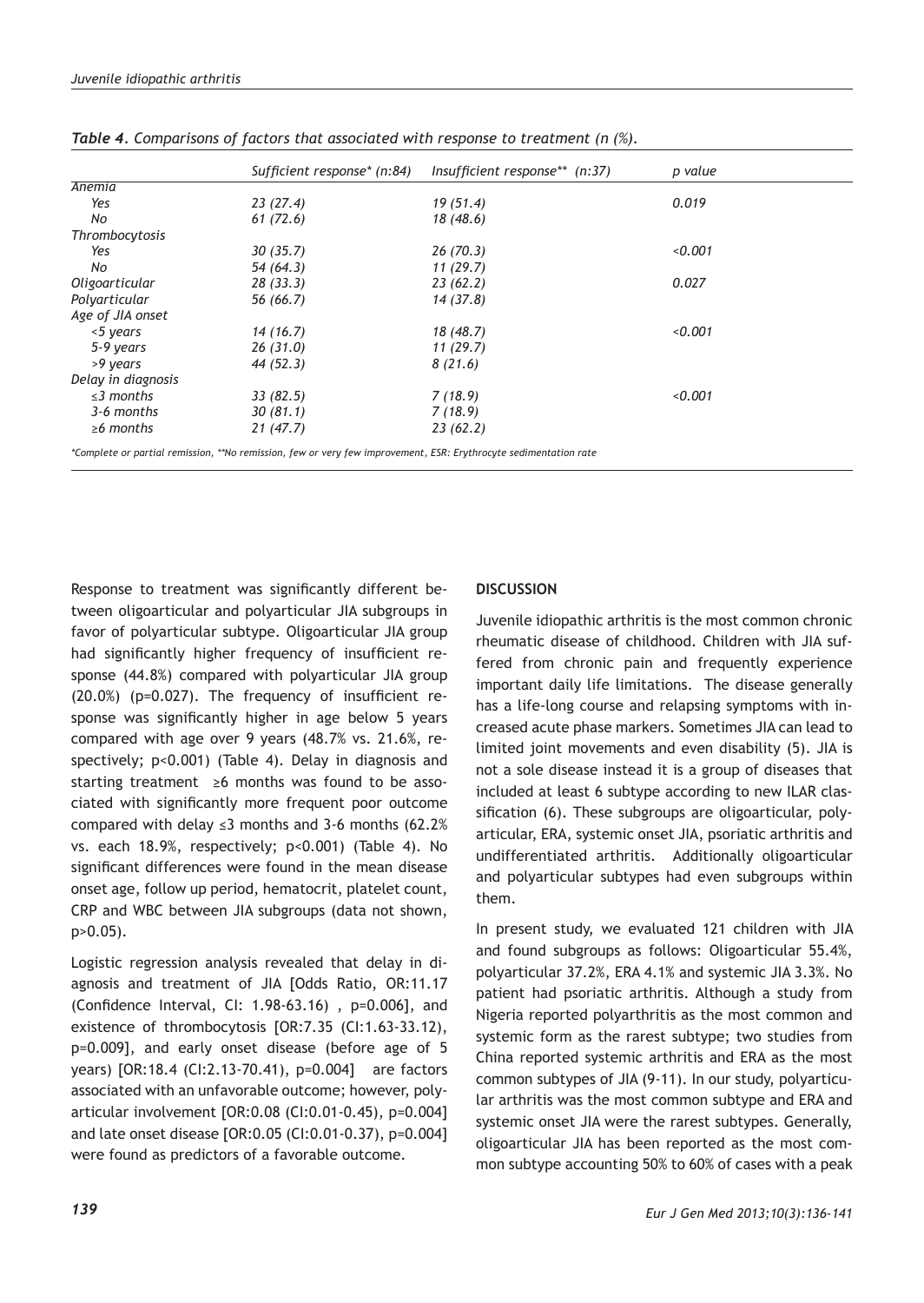|                    | Sufficient response* (n:84) | Insufficient response** (n:37) | p value |
|--------------------|-----------------------------|--------------------------------|---------|
| <b>Anemia</b>      |                             |                                |         |
| Yes                | 23(27.4)                    | 19(51.4)                       | 0.019   |
| No                 | 61(72.6)                    | 18(48.6)                       |         |
| Thrombocytosis     |                             |                                |         |
| Yes                | 30(35.7)                    | 26(70.3)                       | < 0.001 |
| No                 | 54(64.3)                    | 11(29.7)                       |         |
| Oligoarticular     | 28(33.3)                    | 23(62.2)                       | 0.027   |
| Polyarticular      | 56 (66.7)                   | 14(37.8)                       |         |
| Age of JIA onset   |                             |                                |         |
| <5 years           | 14(16.7)                    | 18 (48.7)                      | < 0.001 |
| 5-9 years          | 26(31.0)                    | 11(29.7)                       |         |
| >9 years           | 44 (52.3)                   | 8(21.6)                        |         |
| Delay in diagnosis |                             |                                |         |
| $\leq$ 3 months    | 33(82.5)                    | 7(18.9)                        | < 0.001 |
| 3-6 months         | 30(81.1)                    | 7(18.9)                        |         |
| $\geq$ 6 months    | 21(47.7)                    | 23(62.2)                       |         |

*Table 4. Comparisons of factors that associated with response to treatment (n (%).*

Response to treatment was significantly different between oligoarticular and polyarticular JIA subgroups in favor of polyarticular subtype. Oligoarticular JIA group had significantly higher frequency of insufficient response (44.8%) compared with polyarticular JIA group (20.0%) (p=0.027). The frequency of insufficient response was significantly higher in age below 5 years compared with age over 9 years (48.7% vs. 21.6%, respectively; p<0.001) (Table 4). Delay in diagnosis and starting treatment ≥6 months was found to be associated with significantly more frequent poor outcome compared with delay  $\leq$ 3 months and 3-6 months (62.2%) vs. each 18.9%, respectively; p<0.001) (Table 4). No significant differences were found in the mean disease onset age, follow up period, hematocrit, platelet count, CRP and WBC between JIA subgroups (data not shown, p>0.05).

Logistic regression analysis revealed that delay in diagnosis and treatment of JIA [Odds Ratio, OR:11.17 (Confidence Interval, CI: 1.98-63.16) , p=0.006], and existence of thrombocytosis [OR:7.35 (CI:1.63-33.12), p=0.009], and early onset disease (before age of 5 years) [OR:18.4 (CI:2.13-70.41), p=0.004] are factors associated with an unfavorable outcome; however, polyarticular involvement [OR:0.08 (CI:0.01-0.45), p=0.004] and late onset disease [OR:0.05 (CI:0.01-0.37), p=0.004] were found as predictors of a favorable outcome.

#### **DISCUSSION**

Juvenile idiopathic arthritis is the most common chronic rheumatic disease of childhood. Children with JIA suffered from chronic pain and frequently experience important daily life limitations. The disease generally has a life-long course and relapsing symptoms with increased acute phase markers. Sometimes JIA can lead to limited joint movements and even disability (5). JIA is not a sole disease instead it is a group of diseases that included at least 6 subtype according to new ILAR classification (6). These subgroups are oligoarticular, polyarticular, ERA, systemic onset JIA, psoriatic arthritis and undifferentiated arthritis. Additionally oligoarticular and polyarticular subtypes had even subgroups within them.

In present study, we evaluated 121 children with JIA and found subgroups as follows: Oligoarticular 55.4%, polyarticular 37.2%, ERA 4.1% and systemic JIA 3.3%. No patient had psoriatic arthritis. Although a study from Nigeria reported polyarthritis as the most common and systemic form as the rarest subtype; two studies from China reported systemic arthritis and ERA as the most common subtypes of JIA (9-11). In our study, polyarticular arthritis was the most common subtype and ERA and systemic onset JIA were the rarest subtypes. Generally, oligoarticular JIA has been reported as the most common subtype accounting 50% to 60% of cases with a peak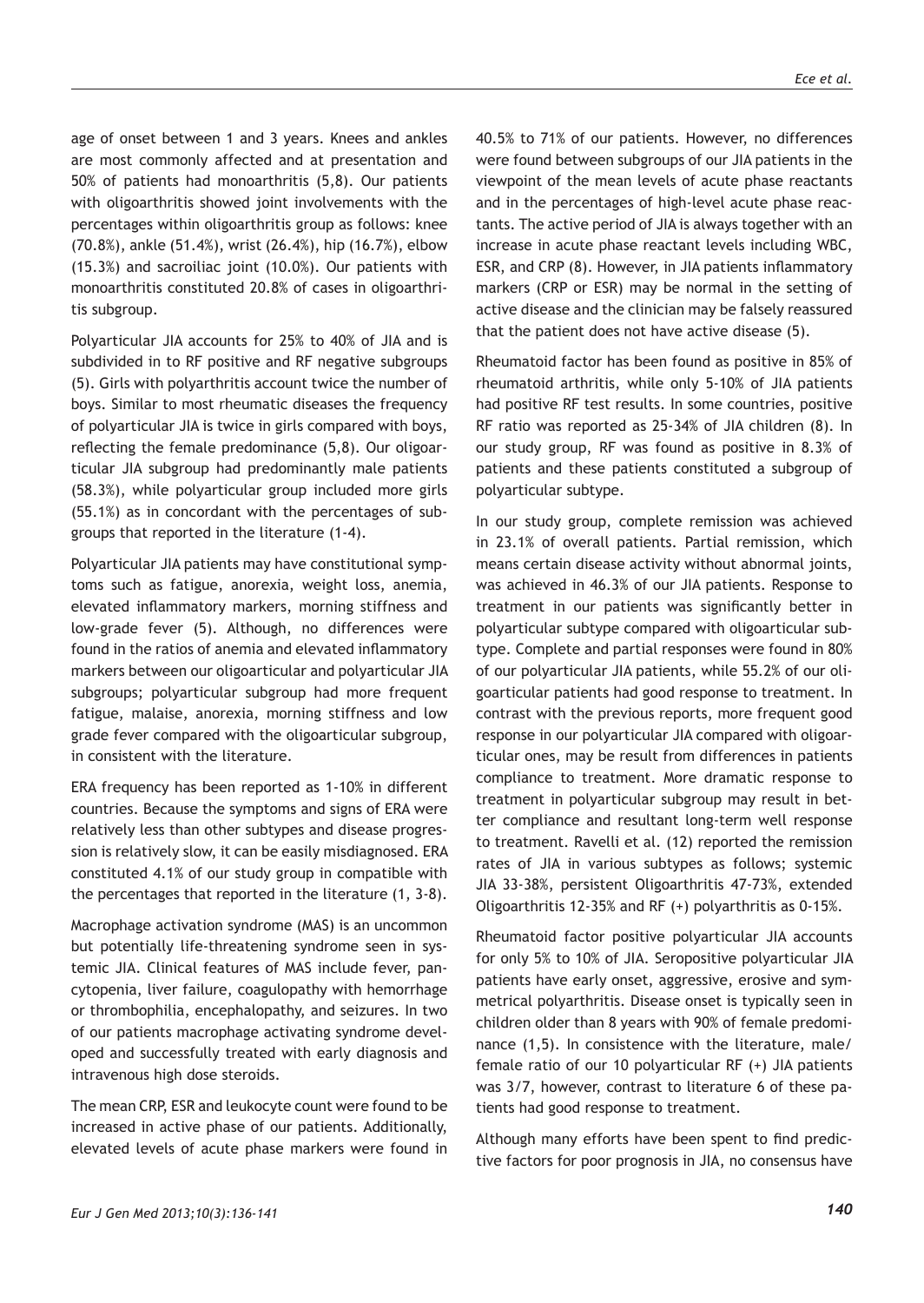age of onset between 1 and 3 years. Knees and ankles are most commonly affected and at presentation and 50% of patients had monoarthritis (5,8). Our patients with oligoarthritis showed joint involvements with the percentages within oligoarthritis group as follows: knee (70.8%), ankle (51.4%), wrist (26.4%), hip (16.7%), elbow (15.3%) and sacroiliac joint (10.0%). Our patients with monoarthritis constituted 20.8% of cases in oligoarthritis subgroup.

Polyarticular JIA accounts for 25% to 40% of JIA and is subdivided in to RF positive and RF negative subgroups (5). Girls with polyarthritis account twice the number of boys. Similar to most rheumatic diseases the frequency of polyarticular JIA is twice in girls compared with boys, reflecting the female predominance (5,8). Our oligoarticular JIA subgroup had predominantly male patients (58.3%), while polyarticular group included more girls (55.1%) as in concordant with the percentages of subgroups that reported in the literature (1-4).

Polyarticular JIA patients may have constitutional symptoms such as fatigue, anorexia, weight loss, anemia, elevated inflammatory markers, morning stiffness and low-grade fever (5). Although, no differences were found in the ratios of anemia and elevated inflammatory markers between our oligoarticular and polyarticular JIA subgroups; polyarticular subgroup had more frequent fatigue, malaise, anorexia, morning stiffness and low grade fever compared with the oligoarticular subgroup, in consistent with the literature.

ERA frequency has been reported as 1-10% in different countries. Because the symptoms and signs of ERA were relatively less than other subtypes and disease progression is relatively slow, it can be easily misdiagnosed. ERA constituted 4.1% of our study group in compatible with the percentages that reported in the literature (1, 3-8).

Macrophage activation syndrome (MAS) is an uncommon but potentially life-threatening syndrome seen in systemic JIA. Clinical features of MAS include fever, pancytopenia, liver failure, coagulopathy with hemorrhage or thrombophilia, encephalopathy, and seizures. In two of our patients macrophage activating syndrome developed and successfully treated with early diagnosis and intravenous high dose steroids.

The mean CRP, ESR and leukocyte count were found to be increased in active phase of our patients. Additionally, elevated levels of acute phase markers were found in 40.5% to 71% of our patients. However, no differences were found between subgroups of our JIA patients in the viewpoint of the mean levels of acute phase reactants and in the percentages of high-level acute phase reactants. The active period of JIA is always together with an increase in acute phase reactant levels including WBC, ESR, and CRP (8). However, in JIA patients inflammatory markers (CRP or ESR) may be normal in the setting of active disease and the clinician may be falsely reassured that the patient does not have active disease (5).

Rheumatoid factor has been found as positive in 85% of rheumatoid arthritis, while only 5-10% of JIA patients had positive RF test results. In some countries, positive RF ratio was reported as 25-34% of JIA children (8). In our study group, RF was found as positive in 8.3% of patients and these patients constituted a subgroup of polyarticular subtype.

In our study group, complete remission was achieved in 23.1% of overall patients. Partial remission, which means certain disease activity without abnormal joints, was achieved in 46.3% of our JIA patients. Response to treatment in our patients was significantly better in polyarticular subtype compared with oligoarticular subtype. Complete and partial responses were found in 80% of our polyarticular JIA patients, while 55.2% of our oligoarticular patients had good response to treatment. In contrast with the previous reports, more frequent good response in our polyarticular JIA compared with oligoarticular ones, may be result from differences in patients compliance to treatment. More dramatic response to treatment in polyarticular subgroup may result in better compliance and resultant long-term well response to treatment. Ravelli et al. (12) reported the remission rates of JIA in various subtypes as follows; systemic JIA 33-38%, persistent Oligoarthritis 47-73%, extended Oligoarthritis 12-35% and RF (+) polyarthritis as 0-15%.

Rheumatoid factor positive polyarticular JIA accounts for only 5% to 10% of JIA. Seropositive polyarticular JIA patients have early onset, aggressive, erosive and symmetrical polyarthritis. Disease onset is typically seen in children older than 8 years with 90% of female predominance (1,5). In consistence with the literature, male/ female ratio of our 10 polyarticular RF (+) JIA patients was 3/7, however, contrast to literature 6 of these patients had good response to treatment.

Although many efforts have been spent to find predictive factors for poor prognosis in JIA, no consensus have